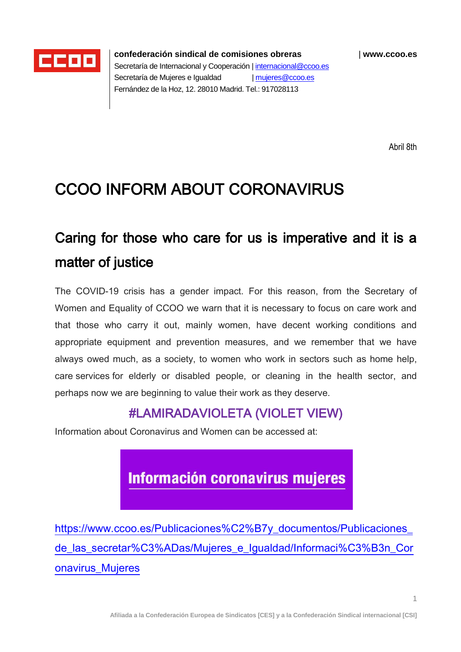

**confederación sindical de comisiones obreras** | **www.ccoo.es** Secretaría de Internacional y Cooperación [| internacional@ccoo.es](mailto:internacional@ccoo.es) Secretaría de Mujeres e Igualdad [| mujeres@ccoo.es](mailto:mujeres@ccoo.es) Fernández de la Hoz, 12. 28010 Madrid. Tel.: 917028113

Abril 8th

## CCOO INFORM ABOUT CORONAVIRUS

# Caring for those who care for us is imperative and it is a matter of justice

The COVID-19 crisis has a gender impact. For this reason, from the Secretary of Women and Equality of CCOO we warn that it is necessary to focus on care work and that those who carry it out, mainly women, have decent working conditions and appropriate equipment and prevention measures, and we remember that we have always owed much, as a society, to women who work in sectors such as home help, care services for elderly or disabled people, or cleaning in the health sector, and perhaps now we are beginning to value their work as they deserve.

### #LAMIRADAVIOLETA (VIOLET VIEW)

Information about Coronavirus and Women can be accessed at:

**Información coronavirus mujeres** 

[https://www.ccoo.es/Publicaciones%C2%B7y\\_documentos/Publicaciones\\_](https://www.ccoo.es/Publicaciones%C2%B7y_documentos/Publicaciones_de_las_secretar%C3%ADas/Mujeres_e_Igualdad/Informaci%C3%B3n_Coronavirus_Mujeres) [de\\_las\\_secretar%C3%ADas/Mujeres\\_e\\_Igualdad/Informaci%C3%B3n\\_Cor](https://www.ccoo.es/Publicaciones%C2%B7y_documentos/Publicaciones_de_las_secretar%C3%ADas/Mujeres_e_Igualdad/Informaci%C3%B3n_Coronavirus_Mujeres) [onavirus\\_Mujeres](https://www.ccoo.es/Publicaciones%C2%B7y_documentos/Publicaciones_de_las_secretar%C3%ADas/Mujeres_e_Igualdad/Informaci%C3%B3n_Coronavirus_Mujeres)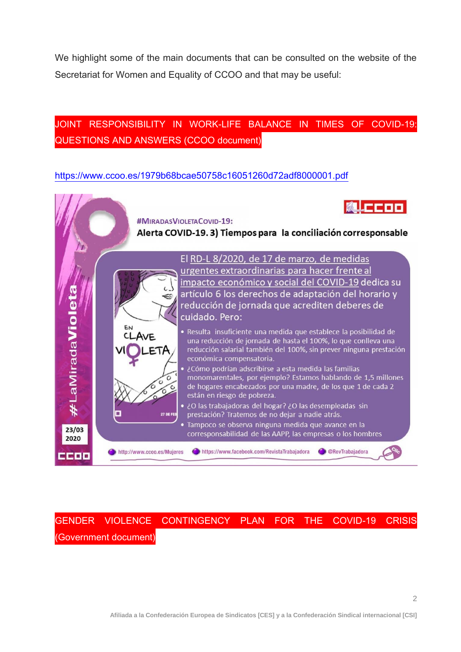We highlight some of the main documents that can be consulted on the website of the Secretariat for Women and Equality of CCOO and that may be useful:

### JOINT RESPONSIBILITY IN WORK-LIFE BALANCE IN TIMES OF COVID-19: QUESTIONS AND ANSWERS (CCOO document)

#### <https://www.ccoo.es/1979b68bcae50758c16051260d72adf8000001.pdf>



GENDER VIOLENCE CONTINGENCY PLAN FOR THE COVID-19 CRISIS (Government document)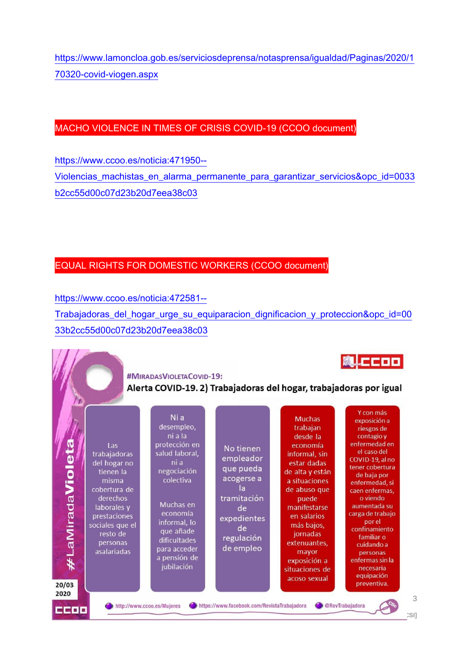[https://www.lamoncloa.gob.es/serviciosdeprensa/notasprensa/igualdad/Paginas/2020/1](https://www.lamoncloa.gob.es/serviciosdeprensa/notasprensa/igualdad/Paginas/2020/170320-covid-viogen.aspx) [70320-covid-viogen.aspx](https://www.lamoncloa.gob.es/serviciosdeprensa/notasprensa/igualdad/Paginas/2020/170320-covid-viogen.aspx)

#### MACHO VIOLENCE IN TIMES OF CRISIS COVID-19 (CCOO document)

[https://www.ccoo.es/noticia:471950--](https://www.ccoo.es/noticia:471950--Violencias_machistas_en_alarma_permanente_para_garantizar_servicios&opc_id=0033b2cc55d00c07d23b20d7eea38c03) [Violencias\\_machistas\\_en\\_alarma\\_permanente\\_para\\_garantizar\\_servicios&opc\\_id=0033](https://www.ccoo.es/noticia:471950--Violencias_machistas_en_alarma_permanente_para_garantizar_servicios&opc_id=0033b2cc55d00c07d23b20d7eea38c03) [b2cc55d00c07d23b20d7eea38c03](https://www.ccoo.es/noticia:471950--Violencias_machistas_en_alarma_permanente_para_garantizar_servicios&opc_id=0033b2cc55d00c07d23b20d7eea38c03)

#### EQUAL RIGHTS FOR DOMESTIC WORKERS (CCOO document)

[https://www.ccoo.es/noticia:472581--](https://www.ccoo.es/noticia:472581--Trabajadoras_del_hogar_urge_su_equiparacion_dignificacion_y_proteccion&opc_id=0033b2cc55d00c07d23b20d7eea38c03)

[Trabajadoras\\_del\\_hogar\\_urge\\_su\\_equiparacion\\_dignificacion\\_y\\_proteccion&opc\\_id=00](https://www.ccoo.es/noticia:472581--Trabajadoras_del_hogar_urge_su_equiparacion_dignificacion_y_proteccion&opc_id=0033b2cc55d00c07d23b20d7eea38c03) [33b2cc55d00c07d23b20d7eea38c03](https://www.ccoo.es/noticia:472581--Trabajadoras_del_hogar_urge_su_equiparacion_dignificacion_y_proteccion&opc_id=0033b2cc55d00c07d23b20d7eea38c03)

> **#MIRADASVIOLETACOVID-19:** Alerta COVID-19. 2) Trabajadoras del hogar, trabajadoras por igual

**MLCCOO**